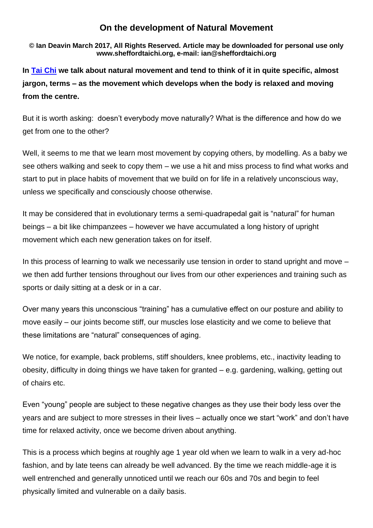## **On the development of Natural Movement**

**© Ian Deavin March 2017, All Rights Reserved. Article may be downloaded for personal use only www.sheffordtaichi.org, e-mail: ian@sheffordtaichi.org**

**In [Tai Chi](http://www.sheffordtaichi.org/) we talk about natural movement and tend to think of it in quite specific, almost jargon, terms – as the movement which develops when the body is relaxed and moving from the centre.**

But it is worth asking: doesn't everybody move naturally? What is the difference and how do we get from one to the other?

Well, it seems to me that we learn most movement by copying others, by modelling. As a baby we see others walking and seek to copy them – we use a hit and miss process to find what works and start to put in place habits of movement that we build on for life in a relatively unconscious way, unless we specifically and consciously choose otherwise.

It may be considered that in evolutionary terms a semi-quadrapedal gait is "natural" for human beings – a bit like chimpanzees – however we have accumulated a long history of upright movement which each new generation takes on for itself.

In this process of learning to walk we necessarily use tension in order to stand upright and move – we then add further tensions throughout our lives from our other experiences and training such as sports or daily sitting at a desk or in a car.

Over many years this unconscious "training" has a cumulative effect on our posture and ability to move easily – our joints become stiff, our muscles lose elasticity and we come to believe that these limitations are "natural" consequences of aging.

We notice, for example, back problems, stiff shoulders, knee problems, etc., inactivity leading to obesity, difficulty in doing things we have taken for granted – e.g. gardening, walking, getting out of chairs etc.

Even "young" people are subject to these negative changes as they use their body less over the years and are subject to more stresses in their lives – actually once we start "work" and don't have time for relaxed activity, once we become driven about anything.

This is a process which begins at roughly age 1 year old when we learn to walk in a very ad-hoc fashion, and by late teens can already be well advanced. By the time we reach middle-age it is well entrenched and generally unnoticed until we reach our 60s and 70s and begin to feel physically limited and vulnerable on a daily basis.